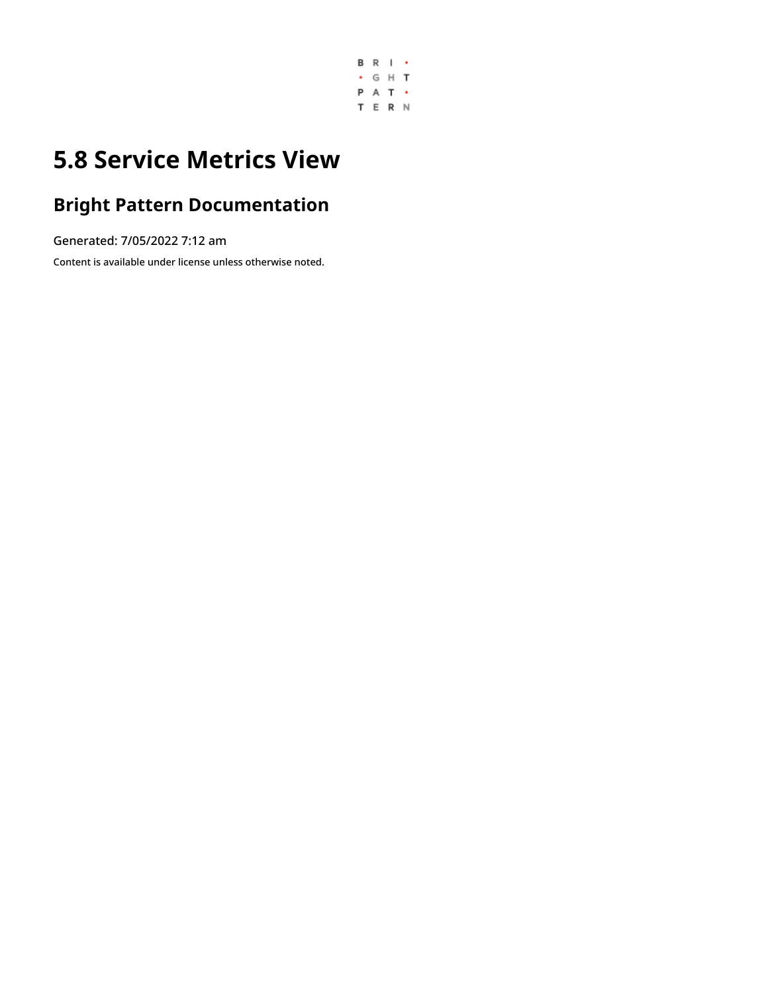

# **5.8 Service Metrics View**

## **Bright Pattern Documentation**

Generated: 7/05/2022 7:12 am

Content is available under license unless otherwise noted.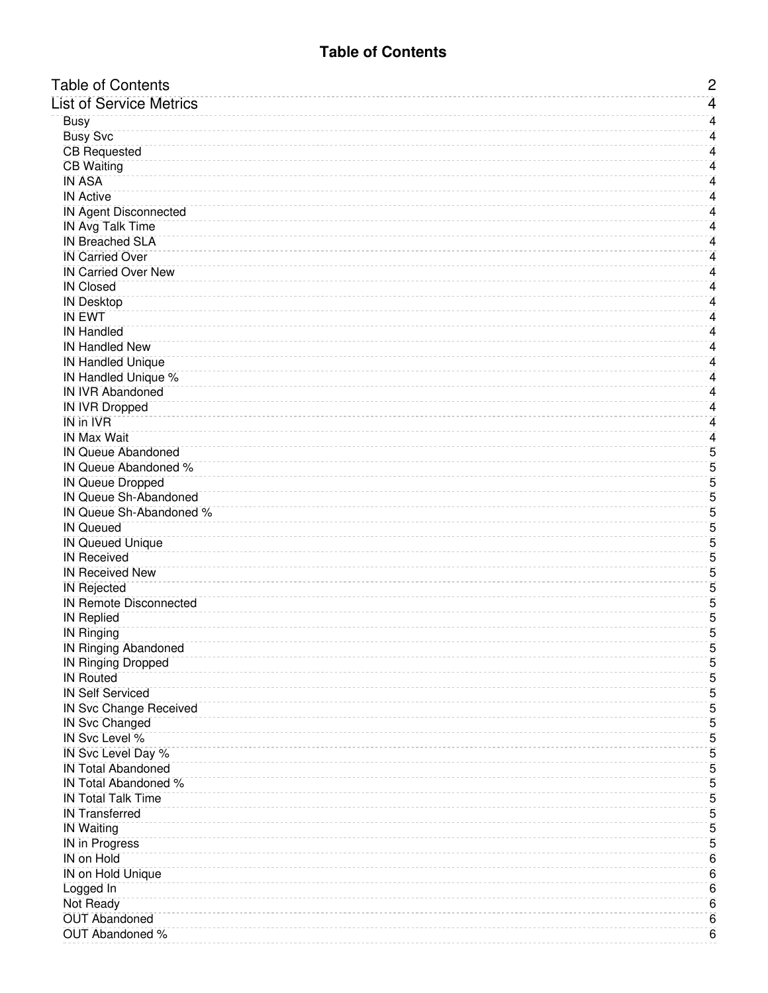<span id="page-1-0"></span>

| <b>Table of Contents</b>                            | $\overline{c}$  |
|-----------------------------------------------------|-----------------|
| <b>List of Service Metrics</b>                      | 4               |
| <b>Busy</b>                                         | 4               |
| <b>Busy Svc</b>                                     | 4               |
| <b>CB</b> Requested                                 | 4               |
| <b>CB Waiting</b>                                   | 4               |
| <b>IN ASA</b>                                       | 4               |
| <b>IN Active</b>                                    | 4               |
| <b>IN Agent Disconnected</b>                        | 4               |
| <b>IN Avg Talk Time</b>                             | 4               |
| <b>IN Breached SLA</b>                              | 4               |
| <b>IN Carried Over</b>                              | 4               |
| <b>IN Carried Over New</b>                          | 4               |
| <b>IN Closed</b>                                    | 4               |
| <b>IN Desktop</b>                                   | 4               |
| <b>IN EWT</b>                                       | 4               |
| <b>IN Handled</b>                                   | 4               |
| <b>IN Handled New</b>                               | 4               |
| <b>IN Handled Unique</b>                            | 4               |
| <b>IN Handled Unique %</b>                          | 4               |
| <b>IN IVR Abandoned</b>                             | 4               |
| <b>IN IVR Dropped</b>                               | 4               |
| <b>IN in IVR</b>                                    | 4               |
| <b>IN Max Wait</b>                                  | $\overline{4}$  |
| <b>IN Queue Abandoned</b>                           | $\overline{5}$  |
| IN Queue Abandoned %                                | $\overline{5}$  |
| <b>IN Queue Dropped</b>                             | $\overline{5}$  |
| <b>IN Queue Sh-Abandoned</b>                        | 5               |
| IN Queue Sh-Abandoned %                             | $\overline{5}$  |
| <b>IN Queued</b>                                    | $\overline{5}$  |
| <b>IN Queued Unique</b>                             | $\overline{5}$  |
| <b>IN Received</b><br><b>IN Received New</b>        | 5               |
|                                                     | 5<br>5          |
| <b>IN Rejected</b><br><b>IN Remote Disconnected</b> | $\overline{5}$  |
| <b>IN Replied</b>                                   | 5               |
| <b>IN Ringing</b>                                   | $\overline{5}$  |
| <b>IN Ringing Abandoned</b>                         | 5               |
| <b>IN Ringing Dropped</b>                           | $\overline{5}$  |
| <b>IN Routed</b>                                    | 5               |
| <b>IN Self Serviced</b>                             | $\overline{5}$  |
| <b>IN Svc Change Received</b>                       | 5               |
| <b>IN Svc Changed</b>                               | 5               |
| IN Svc Level %                                      | 5               |
| IN Svc Level Day %                                  | 5               |
| <b>IN Total Abandoned</b>                           | $\overline{5}$  |
| <b>IN Total Abandoned %</b>                         | 5               |
| <b>IN Total Talk Time</b>                           | 5               |
| <b>IN Transferred</b>                               | 5               |
| <b>IN Waiting</b>                                   | 5               |
| <b>IN in Progress</b>                               | $\overline{5}$  |
| <b>IN on Hold</b>                                   | 6               |
| <b>IN on Hold Unique</b>                            | 6               |
| Logged In                                           | 6               |
| Not Ready                                           | $\overline{6}$  |
| <b>OUT Abandoned</b>                                | $6\overline{6}$ |
| <b>OUT Abandoned %</b>                              | 6               |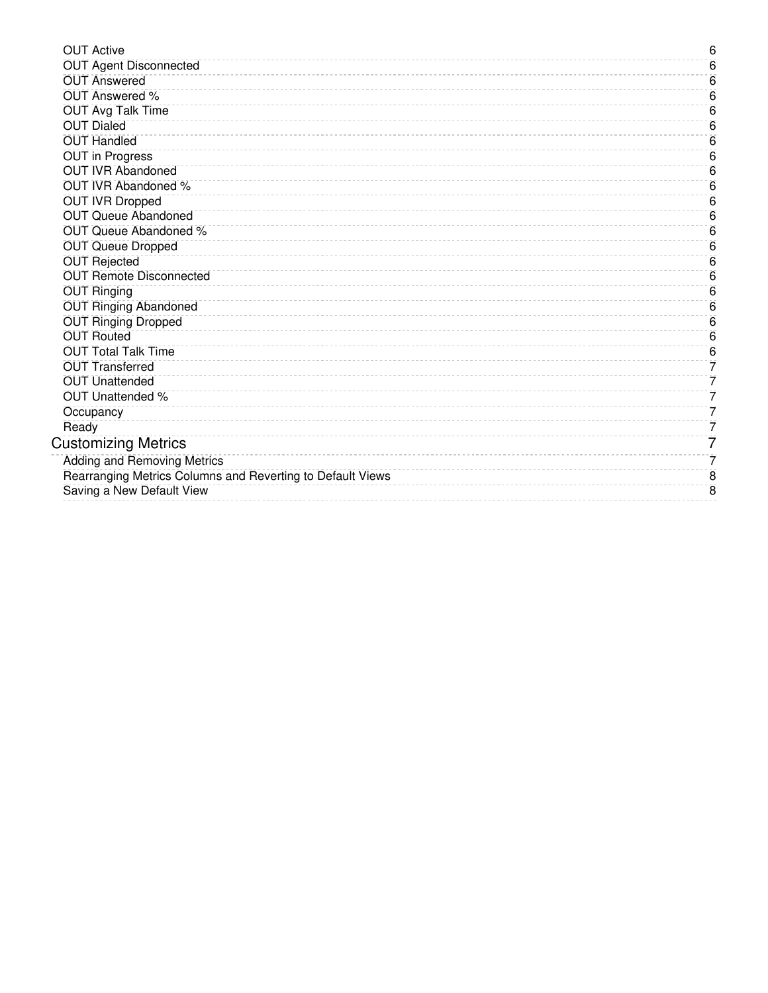| <b>OUT Active</b>                                          | 6 |
|------------------------------------------------------------|---|
| <b>OUT Agent Disconnected</b>                              | 6 |
| <b>OUT Answered</b>                                        | 6 |
| <b>OUT Answered %</b>                                      | 6 |
| <b>OUT Avg Talk Time</b>                                   | 6 |
| <b>OUT Dialed</b>                                          | 6 |
| <b>OUT Handled</b>                                         | 6 |
| <b>OUT in Progress</b>                                     | 6 |
| <b>OUT IVR Abandoned</b>                                   | 6 |
| <b>OUT IVR Abandoned %</b>                                 | 6 |
| <b>OUT IVR Dropped</b>                                     | 6 |
| <b>OUT Queue Abandoned</b>                                 | 6 |
| OUT Queue Abandoned %                                      | 6 |
| <b>OUT Queue Dropped</b>                                   | 6 |
| <b>OUT Rejected</b>                                        | 6 |
| <b>OUT Remote Disconnected</b>                             | 6 |
| <b>OUT Ringing</b>                                         | 6 |
| <b>OUT Ringing Abandoned</b>                               | 6 |
| <b>OUT Ringing Dropped</b>                                 | 6 |
| <b>OUT Routed</b>                                          | 6 |
| <b>OUT Total Talk Time</b>                                 | 6 |
| <b>OUT Transferred</b>                                     | 7 |
| <b>OUT Unattended</b>                                      | 7 |
| <b>OUT Unattended %</b>                                    | 7 |
| Occupancy                                                  | 7 |
| Ready                                                      | 7 |
| <b>Customizing Metrics</b>                                 | 7 |
| <b>Adding and Removing Metrics</b>                         | 7 |
| Rearranging Metrics Columns and Reverting to Default Views | 8 |
| Saving a New Default View                                  | 8 |
|                                                            |   |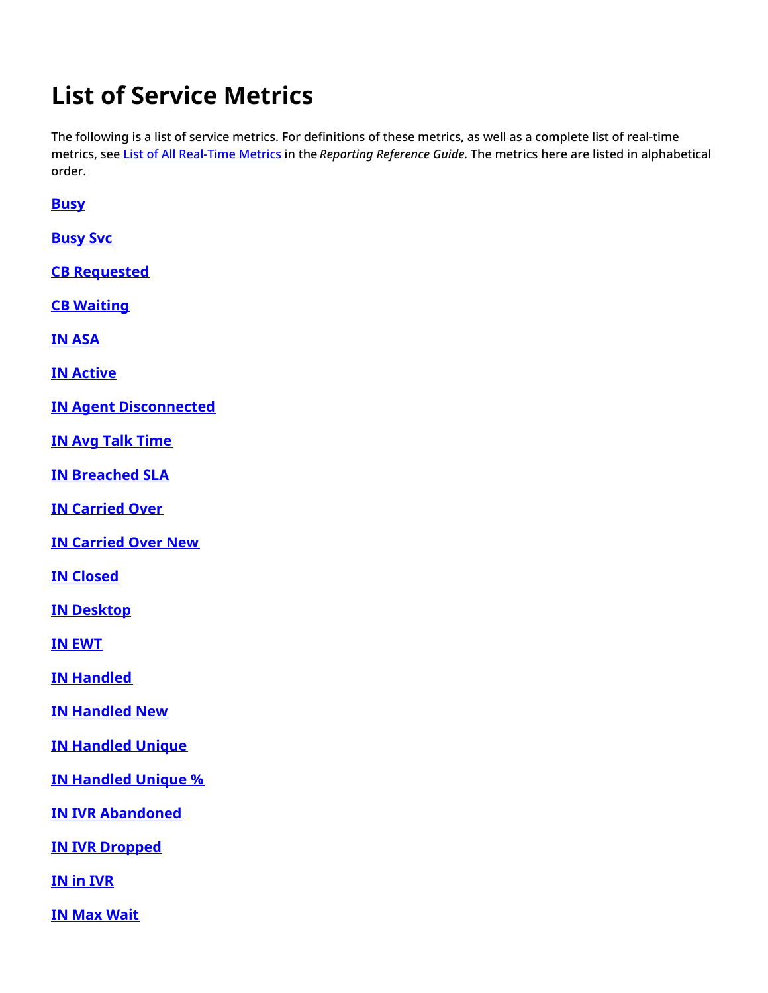# <span id="page-3-0"></span>**List of Service Metrics**

The following is a list of service metrics. For definitions of these metrics, as well as a complete list of real-time metrics, see List of All [Real-Time](https://help.brightpattern.com/5.8:Supervisor-guide/ServiceMetricsView/?action=html-localimages-export#topic_reporting-reference-guide.2Fallmetrics) Metrics in the *Reporting Reference Guide*. The metrics here are listed in alphabetical order.

<span id="page-3-1"></span>**[Busy](https://help.brightpattern.com/5.8:Reporting-reference-guide/AllMetrics#Busy_Agents_.28Busy.29)**

<span id="page-3-2"></span>**[Busy](https://help.brightpattern.com/5.8:Reporting-reference-guide/AllMetrics#Agents_Busy_With_Interactions_of_This_Service_.28Busy_Svc.29) Svc**

<span id="page-3-3"></span>**CB [Requested](https://help.brightpattern.com/5.8:Reporting-reference-guide/AllMetrics#Callbacks_Requested_for_the_Day_.28CB_Requested.29)**

<span id="page-3-4"></span>**CB [Waiting](https://help.brightpattern.com/5.8:Reporting-reference-guide/AllMetrics#Callbacks_Currently_Waiting_in_Queue_.28CB_Waiting.29)**

<span id="page-3-5"></span>**IN [ASA](https://help.brightpattern.com/5.8:Reporting-reference-guide/AllMetrics#Average_Speed_of_Answer_.2F_Average_Time_to_Reply_.28IN_ASA.29)**

<span id="page-3-6"></span>**IN [Active](https://help.brightpattern.com/5.8:Reporting-reference-guide/AllMetrics#Inbound_Interactions_Currently_Handled_by_Agents_.28IN_Active.29)**

<span id="page-3-7"></span>**IN Agent [Disconnected](https://help.brightpattern.com/5.8:Reporting-reference-guide/AllMetrics#Inbound_Calls_Released_by_Agents_for_the_Day_.28IN_Agent_Disconnected.29)**

<span id="page-3-8"></span>**IN Avg Talk [Time](https://help.brightpattern.com/5.8:Reporting-reference-guide/AllMetrics#Inbound_Calls_Duration_Average_for_the_Day_.28IN_Avg_Talk_Time.29)**

<span id="page-3-9"></span>**IN [Breached](https://help.brightpattern.com/5.8:Reporting-reference-guide/AllMetrics#Inbound_Emails_Currently_on_Agents.2C_Saved_in_Personal_Queues.2C_Waiting_in_Excess_of_SLA_Time_.28IN_Breached_SLA.29) SLA**

<span id="page-3-10"></span>**IN [Carried](https://help.brightpattern.com/5.8:Reporting-reference-guide/AllMetrics#Inbound_Emails_Carried_Over_from_Previous_Day_.28IN_Carried_Over.29) Over**

<span id="page-3-11"></span>**IN [Carried](https://help.brightpattern.com/5.8:Reporting-reference-guide/AllMetrics#Inbound_Emails_Carried_Over_from_Previous_Day_for_New_Cases_.28IN_Carried_Over_New.29) Over New**

<span id="page-3-12"></span>**IN [Closed](https://help.brightpattern.com/5.8:Reporting-reference-guide/AllMetrics#Inbound_Emails_Closed_Without_Reply_for_the_Day_.28IN_Closed.29)**

<span id="page-3-13"></span>**IN [Desktop](https://help.brightpattern.com/5.8:Reporting-reference-guide/AllMetrics#Inbound_Emails_Currently_on_Agents.2C_Saved_in_Personal_Queues_.28IN_Desktop.29)**

<span id="page-3-14"></span>**IN [EWT](https://help.brightpattern.com/5.8:Reporting-reference-guide/AllMetrics#Estimated_Wait_Time_.28IN_EWT.29)**

<span id="page-3-15"></span>**IN [Handled](https://help.brightpattern.com/5.8:Reporting-reference-guide/AllMetrics#Inbound_Interactions_Handled_by_Agents_for_the_Day_.28IN_Handled.29)**

<span id="page-3-16"></span>**IN [Handled](https://help.brightpattern.com/5.8:Reporting-reference-guide/AllMetrics#Number_of_New_Emails_Processed_by_Agents.2C_Including_Replied.2C_Closed_Without_Reply.2C_Transferred_and_Service_Changes_.28IN_Handled_New.29) New**

<span id="page-3-17"></span>**IN [Handled](https://help.brightpattern.com/5.8:Reporting-reference-guide/AllMetrics#Unique_Inbound_Calls_Handled_by_Agents_for_the_Day_.28IN_Handled_Unique.29) Unique**

<span id="page-3-18"></span>**IN [Handled](https://help.brightpattern.com/5.8:Reporting-reference-guide/AllMetrics#Percentage_of_Unique_Inbound_Calls_Handled_by_Agents_for_the_Day_.28IN_Handled_Unique_.25.29) Unique %**

<span id="page-3-19"></span>**IN IVR [Abandoned](https://help.brightpattern.com/5.8:Reporting-reference-guide/AllMetrics#Inbound_Calls_Abandoned_in_IVR_for_the_Day_.28IN_IVR_Abandoned.29)**

<span id="page-3-20"></span>**IN IVR [Dropped](https://help.brightpattern.com/5.8:Reporting-reference-guide/AllMetrics#Inbound_Calls_Dropped_by_System_in_IVR_for_the_Day_.28IN_IVR_Dropped.29)**

<span id="page-3-21"></span>**IN in [IVR](https://help.brightpattern.com/5.8:Reporting-reference-guide/AllMetrics#Inbound_Calls_Currently_in_IVR_.28IN_in_IVR.29)**

<span id="page-3-22"></span>**IN Max [Wait](https://help.brightpattern.com/5.8:Reporting-reference-guide/AllMetrics#Max_Inbound_Wait_Time_.28IN_Max_Wait.29)**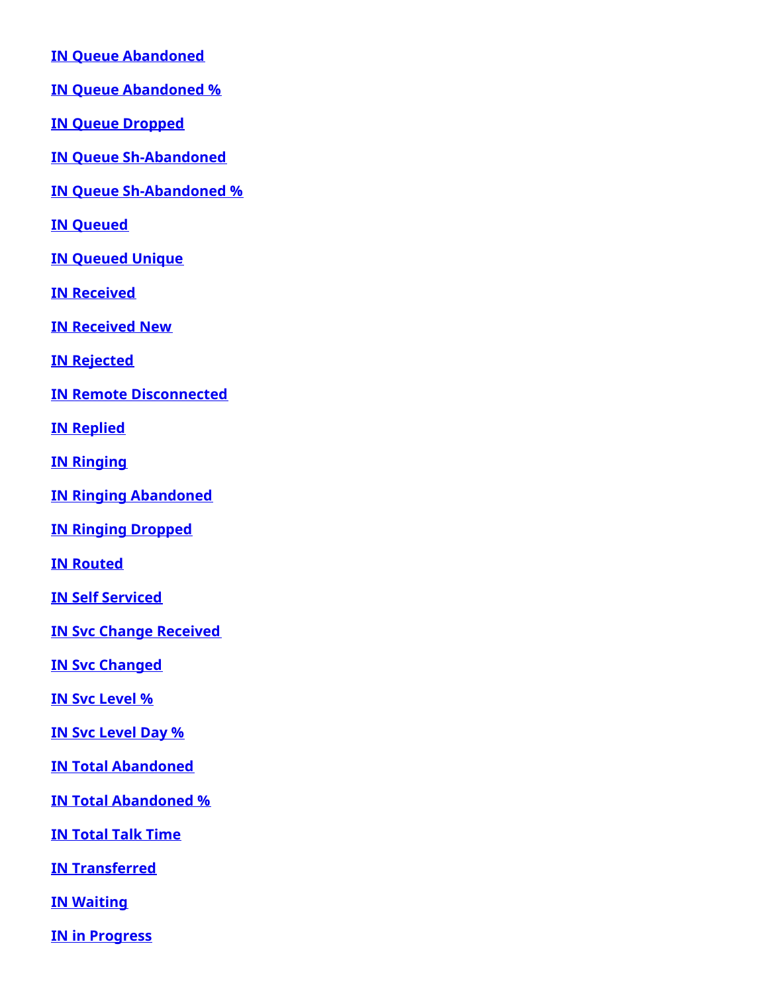<span id="page-4-0"></span>**IN Queue [Abandoned](https://help.brightpattern.com/5.8:Reporting-reference-guide/AllMetrics#Inbound_Calls_Abandoned_in_Queue_for_the_Day_.28IN_Queue_Abandoned.29)**

<span id="page-4-1"></span>**IN Queue [Abandoned](https://help.brightpattern.com/5.8:Reporting-reference-guide/AllMetrics#Percentage_of_Inbound_Calls_Abandoned_in_Queue_for_the_Day_.28IN_Queue_Abandoned_.25.29) %**

<span id="page-4-2"></span>**IN Queue [Dropped](https://help.brightpattern.com/5.8:Reporting-reference-guide/AllMetrics#Inbound_Calls_Dropped_by_System_in_Queue_for_the_Day_.28IN_Queue_Dropped.29)**

<span id="page-4-3"></span>**IN Queue [Sh-Abandoned](https://help.brightpattern.com/5.8:Reporting-reference-guide/AllMetrics#Inbound_Calls_Short_Abandoned_in_Queue_for_the_Day_.28IN_Queue_Sh-Abandoned.29)**

<span id="page-4-4"></span>**IN Queue [Sh-Abandoned](https://help.brightpattern.com/5.8:Reporting-reference-guide/AllMetrics#Percentage_of_Inbound_Calls_Short_Abandoned_in_Queue_for_the_Day_.28IN_Queue_Sh-Abandoned_.25.29) %**

<span id="page-4-5"></span>**IN [Queued](https://help.brightpattern.com/5.8:Reporting-reference-guide/AllMetrics#Inbound_Calls_Queued_for_the_Day_.28IN_Queued.29)**

<span id="page-4-6"></span>**IN [Queued](https://help.brightpattern.com/5.8:Reporting-reference-guide/AllMetrics#Inbound_Calls_First_Time_Queued_for_the_Day_.28IN_Queued_Unique.29) Unique**

<span id="page-4-7"></span>**IN [Received](https://help.brightpattern.com/5.8:Reporting-reference-guide/AllMetrics#Inbound_Interactions_Received_for_the_Day_.28IN_Received.29)**

<span id="page-4-8"></span>**IN [Received](https://help.brightpattern.com/5.8:Reporting-reference-guide/AllMetrics#Inbound_Interactions_Received_for_the_Day_for_New_Cases_.28IN_Received_New.29) New**

<span id="page-4-9"></span>**IN [Rejected](https://help.brightpattern.com/5.8:Reporting-reference-guide/AllMetrics#Inbound_Calls_Rejected_or_Unanswered_by_Agents_for_the_Day_.28IN_Rejected.29)**

<span id="page-4-10"></span>**IN Remote [Disconnected](https://help.brightpattern.com/5.8:Reporting-reference-guide/AllMetrics#Inbound_Calls_Released_by_Callers_for_the_Day_.28IN_Remote_Disconnected.29)**

<span id="page-4-11"></span>**IN [Replied](https://help.brightpattern.com/5.8:Reporting-reference-guide/AllMetrics#Inbound_Emails_Replied_for_the_Day_.28IN_Replied.29)**

<span id="page-4-12"></span>**IN [Ringing](https://help.brightpattern.com/5.8:Reporting-reference-guide/AllMetrics#Inbound_Calls_Currently_Ringing_.28IN_Ringing.29)**

<span id="page-4-13"></span>**IN Ringing [Abandoned](https://help.brightpattern.com/5.8:Reporting-reference-guide/AllMetrics#Inbound_Calls_Abandoned_While_Ringing_for_the_Day_.28IN_Ringing_Abandoned.29)**

<span id="page-4-14"></span>**IN Ringing [Dropped](https://help.brightpattern.com/5.8:Reporting-reference-guide/AllMetrics#Inbound_Calls_Dropped_by_System_While_Ringing_for_the_Day_.28IN_Ringing_Dropped.29)**

<span id="page-4-15"></span>**IN [Routed](https://help.brightpattern.com/5.8:Reporting-reference-guide/AllMetrics#Inbound_Calls_Routed_to_Agents_for_the_Day_.28IN_Routed.29)**

<span id="page-4-16"></span>**IN Self [Serviced](https://help.brightpattern.com/5.8:Reporting-reference-guide/AllMetrics#Inbound_Calls_Self_Serviced_for_the_Day_.28IN_Self_Serviced.29)**

<span id="page-4-17"></span>**IN Svc Change [Received](https://help.brightpattern.com/5.8:Reporting-reference-guide/AllMetrics#Number_of_Interactions_Re-categorized_from_a_Different_Service_by_Agents_.28IN_Svc_Change_Received.29)**

<span id="page-4-18"></span>**IN Svc [Changed](https://help.brightpattern.com/5.8:Reporting-reference-guide/AllMetrics#Number_of_Interactions_Recategorized_to_a_Different_Service_by_Agents_.28IN_Svc_Changed.29)**

<span id="page-4-19"></span>**IN Svc [Level](https://help.brightpattern.com/5.8:Reporting-reference-guide/AllMetrics#Percentage_of_Inbound_Interactions_Answered_in_Service_Level_Over_20_Most_Recent_Calls_.28IN_Svc_Level_.25_or_SLA.29) %**

<span id="page-4-20"></span>**IN Svc [Level](https://help.brightpattern.com/5.8:Reporting-reference-guide/AllMetrics#Percentage_of_Inbound_Interactions_Answered_in_Service_Level_Over_the_Day_.28IN_Svc_Level_Day_.25.29) Day %**

<span id="page-4-21"></span>**IN Total [Abandoned](https://help.brightpattern.com/5.8:Reporting-reference-guide/AllMetrics#Inbound_Calls_Abandoned_for_the_Day_.28IN_Total_Abandoned.29)**

<span id="page-4-22"></span>**IN Total [Abandoned](https://help.brightpattern.com/5.8:Reporting-reference-guide/AllMetrics#Percentage_of_Inbound_Calls_Abandoned_for_the_Day_.28IN_Total_Abandoned_.25.29) %**

<span id="page-4-23"></span>**IN [Total](https://help.brightpattern.com/5.8:Reporting-reference-guide/AllMetrics#Inbound_Calls_Duration_Total_for_the_Day_.28IN_Total_Talk_Time.29) Talk Time**

<span id="page-4-24"></span>**IN [Transferred](https://help.brightpattern.com/5.8:Reporting-reference-guide/AllMetrics#Inbound_Interactions_Transferred_by_Agents_for_the_Day_.28IN_Transferred.29)**

<span id="page-4-25"></span>**IN [Waiting](https://help.brightpattern.com/5.8:Reporting-reference-guide/AllMetrics#Inbound_Interactions_Currently_in_Queue_.28IN_Waiting.29)**

<span id="page-4-26"></span>**IN in [Progress](https://help.brightpattern.com/5.8:Reporting-reference-guide/AllMetrics#Inbound_Interactions_Currently_in_IVR.2C_Queue_or_on_Agents_.28IN_in_Progress.29)**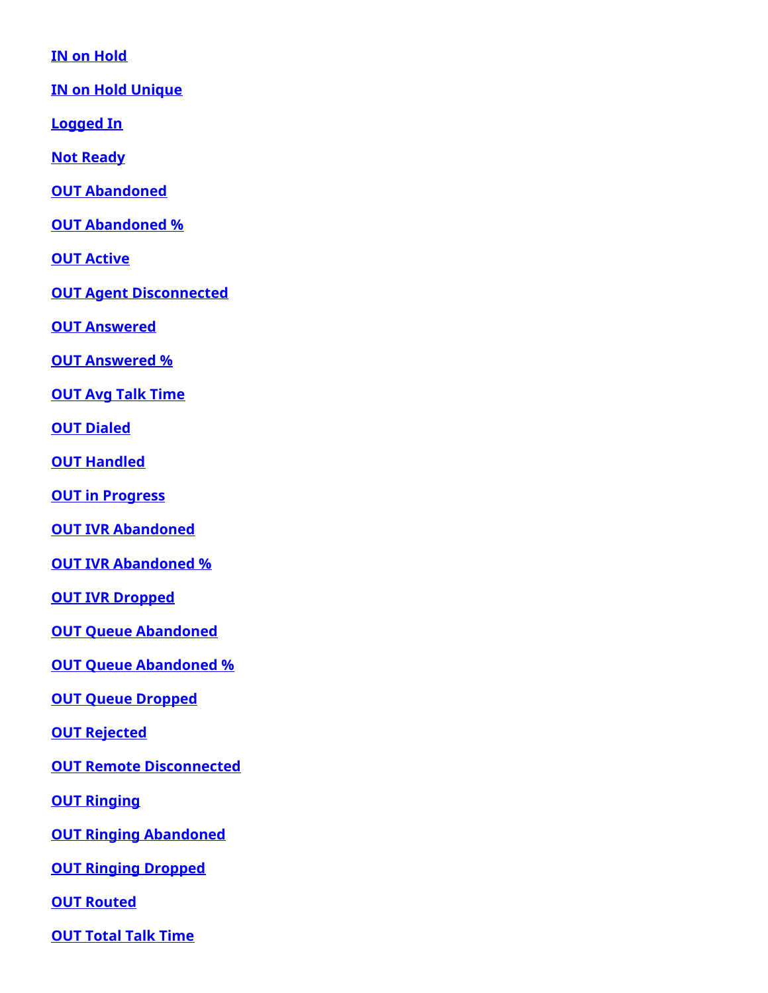<span id="page-5-0"></span>**IN on [Hold](https://help.brightpattern.com/5.8:Reporting-reference-guide/AllMetrics#Inbound_Interactions_Being_Put_on_Hold_by_Agent.28s.29_for_the_Day_.28IN_on_Hold.29)**

<span id="page-5-1"></span>**IN on Hold [Unique](https://help.brightpattern.com/5.8:Reporting-reference-guide/AllMetrics#Unique_Inbound_Interactions_Being_Put_on_Hold_by_Agent.28s.29_for_the_Day_.28IN_on_Hold_Unique.29)**

<span id="page-5-2"></span>**[Logged](https://help.brightpattern.com/5.8:Reporting-reference-guide/AllMetrics#Logged-in_Agents_.28Logged_In.29) In**

<span id="page-5-3"></span>**Not [Ready](https://help.brightpattern.com/5.8:Reporting-reference-guide/AllMetrics#Not_Ready_Agents_.28Not_Ready.29)**

<span id="page-5-4"></span>**OUT [Abandoned](https://help.brightpattern.com/5.8:Reporting-reference-guide/AllMetrics#Outbound_Calls_Abandoned_at_any_Stage_for_the_Day_.28OUT_Abandoned.29)**

<span id="page-5-5"></span>**OUT [Abandoned](https://help.brightpattern.com/5.8:Reporting-reference-guide/AllMetrics#Percentage_of_Outbound_Calls_Abandoned_at_any_Stage_for_the_Day_.28OUT_Abandoned_.25.29) %**

<span id="page-5-6"></span>**OUT [Active](https://help.brightpattern.com/5.8:Reporting-reference-guide/AllMetrics#Outbound_Interactions_Currently_Handled_by_Agents_.28OUT_Active.29)**

<span id="page-5-7"></span>**OUT Agent [Disconnected](https://help.brightpattern.com/5.8:Reporting-reference-guide/AllMetrics#Outbound_Calls_Released_by_Agent_for_the_Day_.28OUT_Agent_Disconnected.29)**

<span id="page-5-8"></span>**OUT [Answered](https://help.brightpattern.com/5.8:Reporting-reference-guide/AllMetrics#Outbound_Successful_Calls_Attempts_for_the_Day_.28OUT_Answered.29)**

<span id="page-5-9"></span>**OUT [Answered](https://help.brightpattern.com/5.8:Reporting-reference-guide/AllMetrics#Percentage_of_Outbound_Successful_Call_Attempts_for_the_Day_.28OUT_Answered_.25.29) %**

<span id="page-5-10"></span>**OUT Avg Talk [Time](https://help.brightpattern.com/5.8:Reporting-reference-guide/AllMetrics#Outbound_Calls_Duration_Average_for_the_Day_.28OUT_Avg_Talk_Time.29)**

<span id="page-5-11"></span>**OUT [Dialed](https://help.brightpattern.com/5.8:Reporting-reference-guide/AllMetrics#Outbound_Call_Attempts_for_the_Day_.28OUT_Dialed.29)**

<span id="page-5-12"></span>**OUT [Handled](https://help.brightpattern.com/5.8:Reporting-reference-guide/AllMetrics#Outbound_Interactions_Handled_by_Agents_for_the_Day.2F_Number_of_Unsolicited_Emails_and_Follow-up_Responses_.28OUT_Handled.29)**

<span id="page-5-13"></span>**OUT in [Progress](https://help.brightpattern.com/5.8:Reporting-reference-guide/AllMetrics#Outbound_Call_Attempts_Currently_in_Progress_.28OUT_in_Progress.29)**

<span id="page-5-14"></span>**OUT IVR [Abandoned](https://help.brightpattern.com/5.8:Reporting-reference-guide/AllMetrics#Outbound_Calls_Abandoned_in_IVR_for_the_Day_.28OUT_IVR_Abandoned.29)**

<span id="page-5-15"></span>**OUT IVR [Abandoned](https://help.brightpattern.com/5.8:Reporting-reference-guide/AllMetrics#Percentage_of_Outbound_Calls_Abandoned_in_IVR_for_the_Day_.28OUT_IVR_Abandoned_.25.29) %**

<span id="page-5-16"></span>**OUT IVR [Dropped](https://help.brightpattern.com/5.8:Reporting-reference-guide/AllMetrics#Outbound_Calls_Dropped_in_IVR_for_the_Day_.28OUT_IVR_Dropped.29)**

<span id="page-5-17"></span>**OUT Queue [Abandoned](https://help.brightpattern.com/5.8:Reporting-reference-guide/AllMetrics#Outbound_Calls_Abandoned_in_Queue_for_the_Day_.28OUT_Queue_Abandoned.29)**

<span id="page-5-18"></span>**OUT Queue [Abandoned](https://help.brightpattern.com/5.8:Reporting-reference-guide/AllMetrics#Percentage_of_Outbound_Calls_Abandoned_in_Queue_for_the_Day_.28OUT_Queue_Abandoned_.25.29) %**

<span id="page-5-19"></span>**OUT Queue [Dropped](https://help.brightpattern.com/5.8:Reporting-reference-guide/AllMetrics#Outbound_Calls_Dropped_in_Queue_for_the_Day_.28OUT_Queue_Dropped.29)**

<span id="page-5-20"></span>**OUT [Rejected](https://help.brightpattern.com/5.8:Reporting-reference-guide/AllMetrics#Outbound_Calls_Rejected_or_Unanswered_by_Agents_for_the_Day_.28OUT_Rejected.29)**

<span id="page-5-21"></span>**OUT Remote [Disconnected](https://help.brightpattern.com/5.8:Reporting-reference-guide/AllMetrics#Outbound_Calls_Released_by_Remote_Party_for_the_Day_.28OUT_Remote_Disconnected.29)**

<span id="page-5-22"></span>**OUT [Ringing](https://help.brightpattern.com/5.8:Reporting-reference-guide/AllMetrics#Outbound_Calls_Delivered_to_Agents_and_Currently_Ringing_.28OUT_Ringing.29)**

<span id="page-5-23"></span>**OUT Ringing [Abandoned](https://help.brightpattern.com/5.8:Reporting-reference-guide/AllMetrics#Outbound_Calls_Abandoned_While_Ringing_for_the_Day_.28OUT_Ringing_Abandoned.29)**

<span id="page-5-24"></span>**OUT Ringing [Dropped](https://help.brightpattern.com/5.8:Reporting-reference-guide/AllMetrics#Outbound_Calls_Dropped_While_Ringing_for_the_Day_.28OUT_Ringing_Dropped.29)**

<span id="page-5-25"></span>**OUT [Routed](https://help.brightpattern.com/5.8:Reporting-reference-guide/AllMetrics#Outbound_Calls_Routed_to_Agents_for_the_Day_.28OUT_Routed.29)**

<span id="page-5-26"></span>**OUT [Total](https://help.brightpattern.com/5.8:Reporting-reference-guide/AllMetrics#Outbound_Calls_Duration_Total_for_the_Day_.28OUT_Total_Talk_Time.29) Talk Time**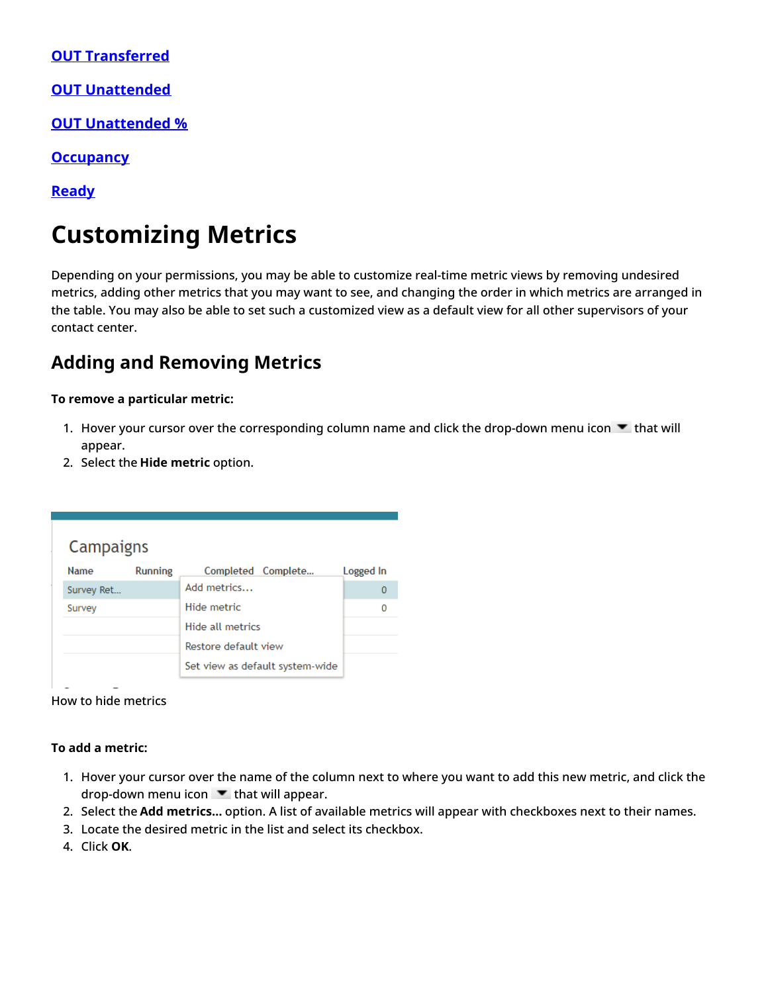<span id="page-6-0"></span>**OUT [Transferred](https://help.brightpattern.com/5.8:Reporting-reference-guide/AllMetrics#Outbound_Calls_Transferred_by_Agents_for_the_Day_.28OUT_Xfers_or_OUT_Transferred.29)**

<span id="page-6-1"></span>**OUT [Unattended](https://help.brightpattern.com/5.8:Reporting-reference-guide/AllMetrics#Outbound_Answered_Calls_That_Did_Not_Connect_to_Agent_in_Compliance_Time.2C_Per_Day_.28OUT_Unattended.29)**

<span id="page-6-2"></span>**OUT [Unattended](https://help.brightpattern.com/5.8:Reporting-reference-guide/AllMetrics#Percentage_of_Calls_That_Did_Not_Connect_to_Agent_in_Compliance_Time.2C_Per_Day_.28OUT_Unattended_.25.29) %**

<span id="page-6-3"></span>**[Occupancy](https://help.brightpattern.com/5.8:Reporting-reference-guide/AllMetrics#Occupancy_in_Campaign.2FService_.28Occupancy.29)**

<span id="page-6-4"></span>**[Ready](https://help.brightpattern.com/5.8:Reporting-reference-guide/AllMetrics#Agents_Ready_.28Ready.29)**

# <span id="page-6-5"></span>**Customizing Metrics**

Depending on your permissions, you may be able to customize real-time metric views by removing undesired metrics, adding other metrics that you may want to see, and changing the order in which metrics are arranged in the table. You may also be able to set such a customized view as a default view for all other supervisors of your contact center.

## <span id="page-6-6"></span>**Adding and Removing Metrics**

### **To remove a particular metric:**

- 1. Hover your cursor over the corresponding column name and click the drop-down menu icon  $\blacktriangledown$  that will appear.
- 2. Select the **Hide metric** option.

| <b>Name</b> | <b>Running</b> | Completed Complete              | Logged In |
|-------------|----------------|---------------------------------|-----------|
| Survey Ret  |                | Add metrics                     | 0         |
| Survey      |                | Hide metric                     | Ω         |
|             |                | Hide all metrics                |           |
|             |                | Restore default view            |           |
|             |                | Set view as default system-wide |           |

How to hide metrics

### **To add a metric:**

- 1. Hover your cursor over the name of the column next to where you want to add this new metric, and click the drop-down menu icon  $\blacksquare$  that will appear.
- 2. Select the **Add metrics…** option. A list of available metrics will appear with checkboxes next to their names.
- 3. Locate the desired metric in the list and select its checkbox.
- 4. Click **OK**.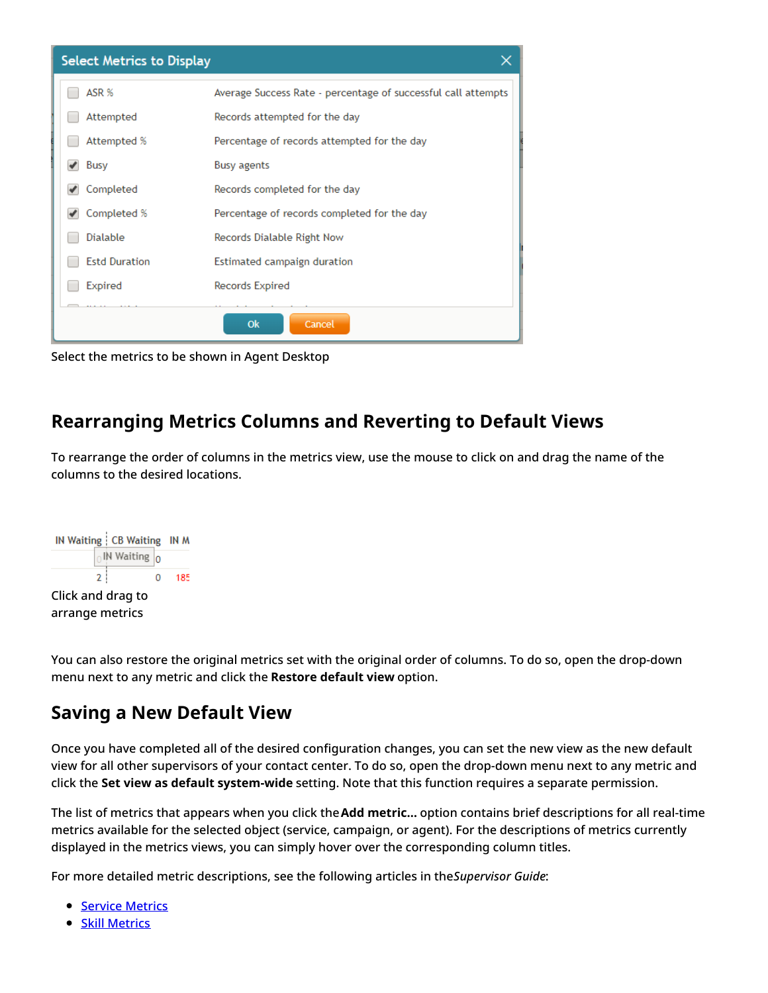| <b>Select Metrics to Display</b> |                                                               |
|----------------------------------|---------------------------------------------------------------|
| ASR %                            | Average Success Rate - percentage of successful call attempts |
| Attempted                        | Records attempted for the day                                 |
| Attempted %                      | Percentage of records attempted for the day                   |
| Busy                             | <b>Busy agents</b>                                            |
| Completed                        | Records completed for the day                                 |
| Completed %                      | Percentage of records completed for the day                   |
| Dialable                         | Records Dialable Right Now                                    |
| <b>Estd Duration</b>             | Estimated campaign duration                                   |
| Expired                          | Records Expired                                               |
|                                  | Cancel<br>Ok                                                  |

Select the metrics to be shown in Agent Desktop

## <span id="page-7-0"></span>**Rearranging Metrics Columns and Reverting to Default Views**

To rearrange the order of columns in the metrics view, use the mouse to click on and drag the name of the columns to the desired locations.



You can also restore the original metrics set with the original order of columns. To do so, open the drop-down menu next to any metric and click the **Restore default view** option.

## <span id="page-7-1"></span>**Saving a New Default View**

Once you have completed all of the desired configuration changes, you can set the new view as the new default view for all other supervisors of your contact center. To do so, open the drop-down menu next to any metric and click the **Set view as default system-wide** setting. Note that this function requires a separate permission.

The list of metrics that appears when you click the**Add metric…** option contains brief descriptions for all real-time metrics available for the selected object (service, campaign, or agent). For the descriptions of metrics currently displayed in the metrics views, you can simply hover over the corresponding column titles.

For more detailed metric descriptions, see the following articles in the*Supervisor Guide*:

- **Service [Metrics](https://help.brightpattern.com/5.8:Supervisor-guide/ServiceMetricsView/?action=html-localimages-export#topic_supervisor-guide.2Flistofservicemetrics)**
- **Skill [Metrics](https://help.brightpattern.com/5.8:Supervisor-guide/ServiceMetricsView/?action=html-localimages-export#topic_supervisor-guide.2Flistofskillmetrics)**